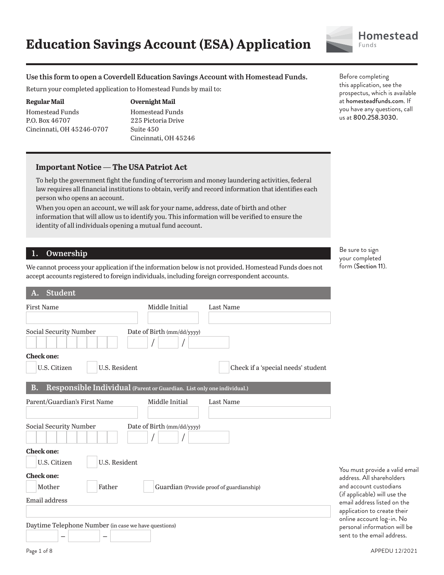#### **Use this form to open a Coverdell Education Savings Account with Homestead Funds.**

Return your completed application to Homestead Funds by mail to:

#### **Regular Mail**

Homestead Funds P.O. Box 46707 Cincinnati, OH 45246-0707

#### **Overnight Mail**

Homestead Funds 225 Pictoria Drive Suite 450 Cincinnati, OH 45246

#### **Important Notice — The USA Patriot Act**

To help the government fight the funding of terrorism and money laundering activities, federal law requires all financial institutions to obtain, verify and record information that identifies each person who opens an account.

When you open an account, we will ask for your name, address, date of birth and other information that will allow us to identify you. This information will be verified to ensure the identity of all individuals opening a mutual fund account.

## **1. Ownership**

We cannot process your application if the information below is not provided. Homestead Funds does not accept accounts registered to foreign individuals, including foreign correspondent accounts.

| <b>First Name</b>                                                                   | Middle Initial             | <b>Last Name</b>                         |
|-------------------------------------------------------------------------------------|----------------------------|------------------------------------------|
|                                                                                     |                            |                                          |
|                                                                                     |                            |                                          |
| Social Security Number                                                              | Date of Birth (mm/dd/yyyy) |                                          |
|                                                                                     |                            |                                          |
| <b>Check one:</b>                                                                   |                            |                                          |
| U.S. Resident<br>U.S. Citizen                                                       |                            | Check if a 'special needs' student       |
|                                                                                     |                            |                                          |
| Responsible Individual (Parent or Guardian. List only one individual.)<br><b>B.</b> |                            |                                          |
| Parent/Guardian's First Name                                                        | Middle Initial             | Last Name                                |
|                                                                                     |                            |                                          |
| Social Security Number                                                              | Date of Birth (mm/dd/yyyy) |                                          |
|                                                                                     |                            |                                          |
| <b>Check one:</b>                                                                   |                            |                                          |
| U.S. Resident<br>U.S. Citizen                                                       |                            |                                          |
| <b>Check one:</b>                                                                   |                            |                                          |
| Mother<br>Father                                                                    |                            | Guardian (Provide proof of guardianship) |
| Email address                                                                       |                            |                                          |
|                                                                                     |                            |                                          |
|                                                                                     |                            |                                          |
| Daytime Telephone Number (in case we have questions)                                |                            |                                          |
|                                                                                     |                            |                                          |

Before completing this application, see the prospectus, which is available at homesteadfunds.com. If you have any questions, call us at 800.258.3030.

Be sure to sign your completed form (Section 11).

You must provide a valid email address. All shareholders and account custodians (if applicable) will use the email address listed on the application to create their online account log-in. No personal information will be sent to the email address.

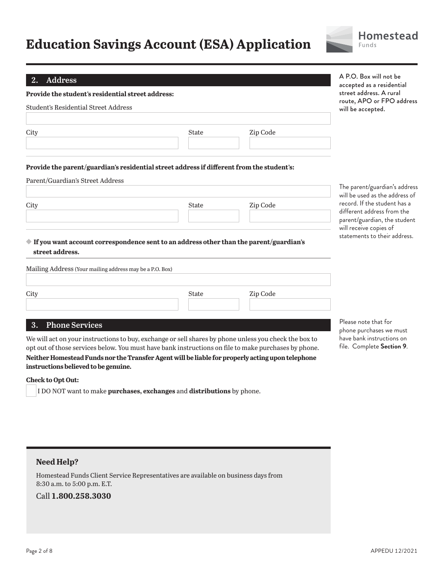# **Education Savings Account (ESA) Application**



A P.O. Box will not be

#### **2. Address**

| ∠.<br>Auuress<br><b>Provide the student's residential street address:</b> |                                                                                           |          | accepted as a residential<br>street address. A rural<br>route, APO or FPO address |  |
|---------------------------------------------------------------------------|-------------------------------------------------------------------------------------------|----------|-----------------------------------------------------------------------------------|--|
| Student's Residential Street Address                                      |                                                                                           |          | will be accepted.                                                                 |  |
| City                                                                      | <b>State</b>                                                                              | Zip Code |                                                                                   |  |
| Parent/Guardian's Street Address                                          | Provide the parent/guardian's residential street address if different from the student's: |          |                                                                                   |  |
|                                                                           |                                                                                           |          | The parent/guardian's address<br>will be used as the address of                   |  |

# City State Zip Code

## **If you want account correspondence sent to an address other than the parent/guardian's street address.**

| Mailing Address (Your mailing address may be a P.O. Box) |              |          |  |
|----------------------------------------------------------|--------------|----------|--|
|                                                          |              |          |  |
| City                                                     | <b>State</b> | Zip Code |  |
|                                                          |              |          |  |
|                                                          |              |          |  |

# **3. Phone Services**

We will act on your instructions to buy, exchange or sell shares by phone unless you check the box to opt out of those services below. You must have bank instructions on file to make purchases by phone.

**Neither Homestead Funds nor the Transfer Agent will be liable for properly acting upon telephone instructions believed to be genuine.**

#### **Check to Opt Out:**

I DO NOT want to make **purchases, exchanges** and **distributions** by phone.

Please note that for phone purchases we must have bank instructions on file. Complete **Section 9**.

record. If the student has a different address from the parent/guardian, the student will receive copies of statements to their address.

# **Need Help?**

Homestead Funds Client Service Representatives are available on business days from 8:30 a.m. to 5:00 p.m. E.T.

# Call **1.800.258.3030**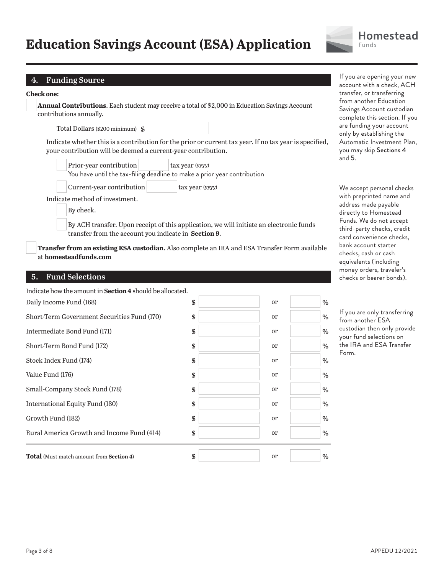# **Education Savings Account (ESA) Application**



# **4. Funding Source**

| <b>Annual Contributions.</b> Each student may receive a total of \$2,000 in Education Savings Account |
|-------------------------------------------------------------------------------------------------------|
| contributions annually.                                                                               |

Total Dollars (\$200 minimum) \$

 Indicate whether this is a contribution for the prior or current tax year. If no tax year is specified, your contribution will be deemed a current-year contribution.

| Prior-year contribution                                                  |  | tax year (yyyy) |  |
|--------------------------------------------------------------------------|--|-----------------|--|
| You have until the tax-filing deadline to make a prior year contribution |  |                 |  |
| Current-year contribution                                                |  | tax year (yyyy) |  |

Indicate method of investment.

By check.

 By ACH transfer. Upon receipt of this application, we will initiate an electronic funds transfer from the account you indicate in **Section 9**.

**Transfer from an existing ESA custodian.** Also complete an IRA and ESA Transfer Form available at **homesteadfunds.com**

## **5. Fund Selections**

| Indicate how the amount in <b>Section 4</b> should be allocated. |                     |      |
|------------------------------------------------------------------|---------------------|------|
| Daily Income Fund (168)                                          | \$<br><sub>or</sub> | $\%$ |
| Short-Term Government Securities Fund (170)                      | \$<br><sub>or</sub> | %    |
| Intermediate Bond Fund (171)                                     | \$<br><sub>or</sub> | %    |
| Short-Term Bond Fund (172)                                       | \$<br><sub>or</sub> | %    |
| Stock Index Fund (174)                                           | \$<br><sub>or</sub> | %    |
| Value Fund (176)                                                 | \$<br><sub>or</sub> | %    |
| Small-Company Stock Fund (178)                                   | \$<br><sub>or</sub> | %    |
| International Equity Fund (180)                                  | \$<br><sub>or</sub> | %    |
| Growth Fund (182)                                                | \$<br><sub>or</sub> | %    |
| Rural America Growth and Income Fund (414)                       | \$<br><sub>or</sub> | %    |
| <b>Total</b> (Must match amount from <b>Section 4)</b>           | \$<br><sub>or</sub> | %    |

If you are opening your new account with a check, ACH transfer, or transferring from another Education Savings Account custodian complete this section. If you are funding your account only by establishing the Automatic Investment Plan, you may skip Sections 4 and 5.

We accept personal checks with preprinted name and address made payable directly to Homestead Funds. We do not accept third-party checks, credit card convenience checks, bank account starter checks, cash or cash equivalents (including money orders, traveler's checks or bearer bonds).

If you are only transferring from another ESA custodian then only provide your fund selections on the IRA and ESA Transfer Form.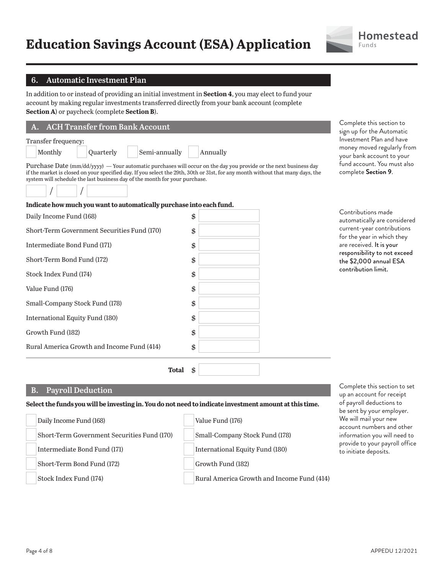

## **6. Automatic Investment Plan**

In addition to or instead of providing an initial investment in **Section 4**, you may elect to fund your account by making regular investments transferred directly from your bank account (complete **Section A**) or paycheck (complete **Section B**).

| A. ACH Transfer from Bank Account |           |                                                                            |                                                                                                                                                                                                                                                                                 |  |
|-----------------------------------|-----------|----------------------------------------------------------------------------|---------------------------------------------------------------------------------------------------------------------------------------------------------------------------------------------------------------------------------------------------------------------------------|--|
| Transfer frequency:               |           |                                                                            |                                                                                                                                                                                                                                                                                 |  |
| Monthly                           | Quarterly | Semi-annually                                                              | Annually                                                                                                                                                                                                                                                                        |  |
|                                   |           | system will schedule the last business day of the month for your purchase. | Purchase Date $\frac{\text{mm}}{\text{dd}/\text{yyyy}}$ — Your automatic purchases will occur on the day you provide or the next business day<br>if the market is closed on your specified day. If you select the 29th, 30th or 31st, for any month without that many days, the |  |
|                                   |           |                                                                            |                                                                                                                                                                                                                                                                                 |  |

**Indicate how much you want to automatically purchase into each fund.**

Daily Income Fund (168) \$

Short-Term Government Securities Fund (170) \$ Intermediate Bond Fund (171) \$ Short-Term Bond Fund (172) \$

Stock Index Fund (174) \$ Value Fund (176) \$ Small-Company Stock Fund (178) \$

International Equity Fund (180) \$ Growth Fund (182) \$ Rural America Growth and Income Fund (414) \$

 **Total** \$

Complete this section to sign up for the Automatic Investment Plan and have money moved regularly from your bank account to your fund account. You must also complete **Section 9**.

| Contributions made           |
|------------------------------|
| automatically are considered |
| current-year contributions   |
| for the year in which they   |
| are received. It is your     |
| responsibility to not exceed |
| the \$2,000 annual ESA       |
| contribution limit.          |
|                              |
|                              |
|                              |
|                              |

## **B. Payroll Deduction**

#### **Select the funds you will be investing in. You do not need to indicate investment amount at this time.**

| Daily Income Fund (168)                     | Value Fund (176)                           |
|---------------------------------------------|--------------------------------------------|
| Short-Term Government Securities Fund (170) | Small-Company Stock Fund (178)             |
| Intermediate Bond Fund (171)                | International Equity Fund (180)            |
| Short-Term Bond Fund (172)                  | Growth Fund (182)                          |
| Stock Index Fund (174)                      | Rural America Growth and Income Fund (414) |

Complete this section to set up an account for receipt of payroll deductions to be sent by your employer. We will mail your new account numbers and other information you will need to provide to your payroll office to initiate deposits.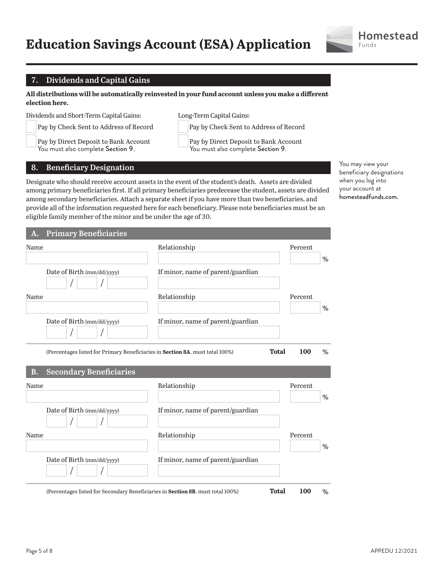

# **7. Dividends and Capital Gains**

**All distributions will be automatically reinvested in your fund account unless you make a different election here.** 

Dividends and Short-Term Capital Gains:

 Pay by Check Sent to Address of Record Pay by Direct Deposit to Bank Account You must also complete Section 9.

Long-Term Capital Gains:

Pay by Check Sent to Address of Record

 Pay by Direct Deposit to Bank Account You must also complete Section 9.

**8. Beneficiary Designation**

Designate who should receive account assets in the event of the student's death. Assets are divided among primary beneficiaries first. If all primary beneficiaries predecease the student, assets are divided among secondary beneficiaries. Attach a separate sheet if you have more than two beneficiaries, and provide all of the information requested here for each beneficiary. Please note beneficiaries must be an eligible family member of the minor and be under the age of 30.

You may view your beneficiary designations when you log into your account at homesteadfunds.com.

| Name         |                                | Relationship                                                                                  | Percent |      |
|--------------|--------------------------------|-----------------------------------------------------------------------------------------------|---------|------|
|              |                                |                                                                                               |         | %    |
|              | Date of Birth (mm/dd/yyyy)     | If minor, name of parent/guardian                                                             |         |      |
| Name         |                                | Relationship                                                                                  | Percent | $\%$ |
|              | Date of Birth (mm/dd/yyyy)     | If minor, name of parent/guardian                                                             |         |      |
|              |                                |                                                                                               |         |      |
|              |                                | <b>Total</b><br>(Percentages listed for Primary Beneficiaries in Section 8A. must total 100%) | 100     | $\%$ |
| <b>B.</b>    | <b>Secondary Beneficiaries</b> |                                                                                               |         |      |
|              |                                | Relationship                                                                                  | Percent |      |
|              | Date of Birth (mm/dd/yyyy)     | If minor, name of parent/guardian                                                             |         | %    |
| Name<br>Name |                                | Relationship                                                                                  | Percent | %    |

(Percentages listed for Secondary Beneficiaries in **Section 8B**. must total 100%) **Total 100** %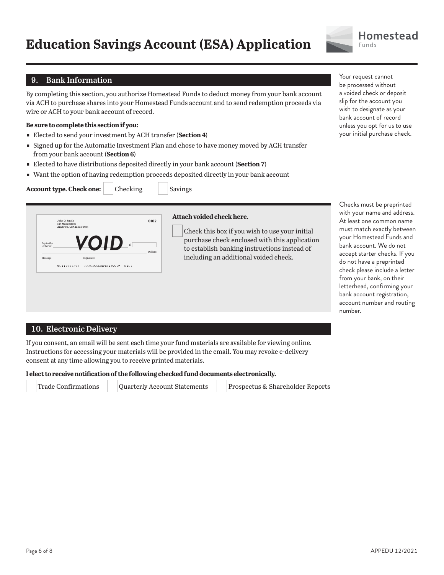

# **9. Bank Information**

By completing this section, you authorize Homestead Funds to deduct money from your bank account via ACH to purchase shares into your Homestead Funds account and to send redemption proceeds via wire or ACH to your bank account of record.

#### **Be sure to complete this section if you:**

- ɕ Elected to send your investment by ACH transfer (**Section 4**)
- **Signed up for the Automatic Investment Plan and chose to have money moved by ACH transfer** from your bank account (**Section 6**)
- ɕ Elected to have distributions deposited directly in your bank account (**Section 7**)
- Want the option of having redemption proceeds deposited directly in your bank account

| Account type. Check one: | Checking |  |
|--------------------------|----------|--|
|                          |          |  |

**Savings** 

|                        | 123 Main Street<br>Anytown, USA 12345-6789 |                                |       |         |
|------------------------|--------------------------------------------|--------------------------------|-------|---------|
| Pay to the<br>Order of |                                            | ZOID                           | \$.   | Dollars |
| Message                |                                            | Signature                      |       |         |
|                        |                                            | 40112466784 22253456089012445M | n 102 |         |

#### **Attach voided check here.**

Check this box if you wish to use your initial purchase check enclosed with this application to establish banking instructions instead of including an additional voided check.

Your request cannot be processed without a voided check or deposit slip for the account you wish to designate as your bank account of record unless you opt for us to use your initial purchase check.

Checks must be preprinted with your name and address. At least one common name must match exactly between your Homestead Funds and bank account. We do not accept starter checks. If you do not have a preprinted check please include a letter from your bank, on their letterhead, confirming your bank account registration, account number and routing number.

# **10. Electronic Delivery**

If you consent, an email will be sent each time your fund materials are available for viewing online. Instructions for accessing your materials will be provided in the email. You may revoke e-delivery consent at any time allowing you to receive printed materials.

#### **I elect to receive notification of the following checked fund documents electronically.**

Trade Confirmations Quarterly Account Statements Prospectus & Shareholder Reports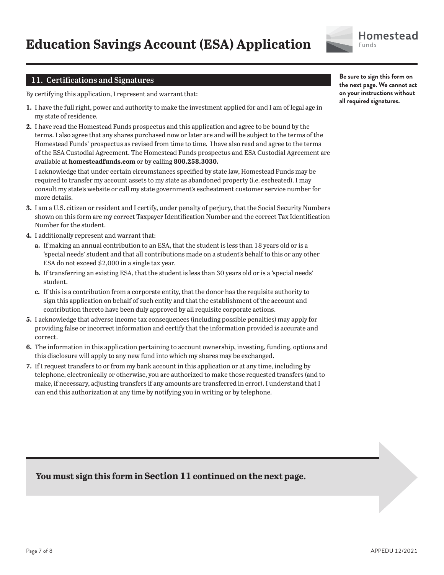

# **11. Certifications and Signatures**

By certifying this application, I represent and warrant that:

- **1.** I have the full right, power and authority to make the investment applied for and I am of legal age in my state of residence.
- **2.** I have read the Homestead Funds prospectus and this application and agree to be bound by the terms. I also agree that any shares purchased now or later are and will be subject to the terms of the Homestead Funds' prospectus as revised from time to time. I have also read and agree to the terms of the ESA Custodial Agreement. The Homestead Funds prospectus and ESA Custodial Agreement are available at **homesteadfunds.com** or by calling **800.258.3030.**

I acknowledge that under certain circumstances specified by state law, Homestead Funds may be required to transfer my account assets to my state as abandoned property (i.e. escheated). I may consult my state's website or call my state government's escheatment customer service number for more details.

- **3.** I am a U.S. citizen or resident and I certify, under penalty of perjury, that the Social Security Numbers shown on this form are my correct Taxpayer Identification Number and the correct Tax Identification Number for the student.
- **4.** I additionally represent and warrant that:
	- **a.** If making an annual contribution to an ESA, that the student is less than 18 years old or is a 'special needs' student and that all contributions made on a student's behalf to this or any other ESA do not exceed \$2,000 in a single tax year.
	- **b.** If transferring an existing ESA, that the student is less than 30 years old or is a 'special needs' student.
	- **c.** If this is a contribution from a corporate entity, that the donor has the requisite authority to sign this application on behalf of such entity and that the establishment of the account and contribution thereto have been duly approved by all requisite corporate actions.
- **5.** I acknowledge that adverse income tax consequences (including possible penalties) may apply for providing false or incorrect information and certify that the information provided is accurate and correct.
- **6.** The information in this application pertaining to account ownership, investing, funding, options and this disclosure will apply to any new fund into which my shares may be exchanged.
- **7.** If I request transfers to or from my bank account in this application or at any time, including by telephone, electronically or otherwise, you are authorized to make those requested transfers (and to make, if necessary, adjusting transfers if any amounts are transferred in error). I understand that I can end this authorization at any time by notifying you in writing or by telephone.

**Be sure to sign this form on the next page. We cannot act on your instructions without all required signatures.**

# **You must sign this form in Section 11 continued on the next page.**